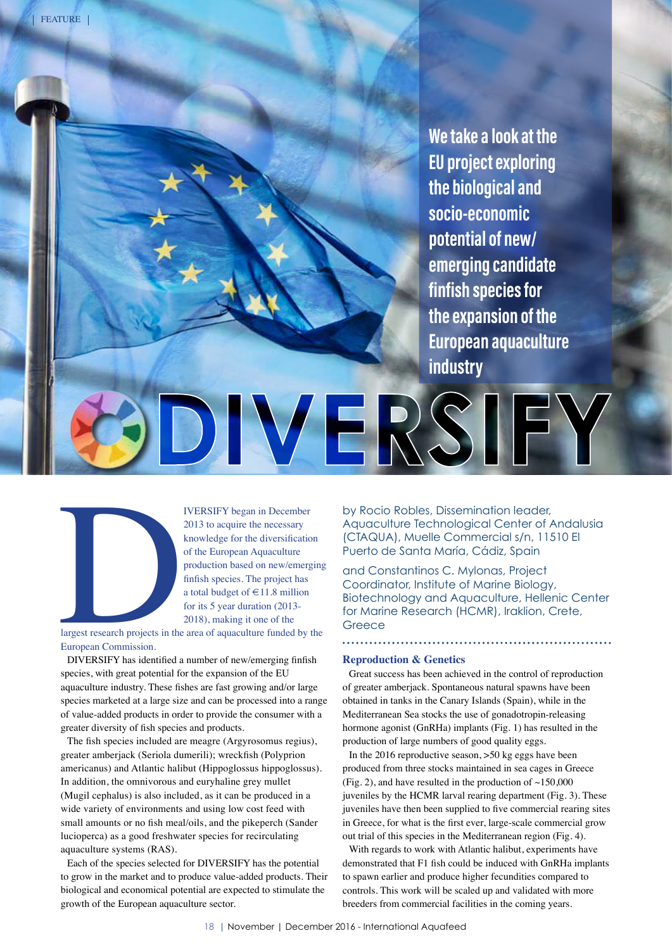**We take a look at the EU project exploring the biological and socio-economic potential of new/ emerging candidate finfish species for the expansion of the European aquaculture industry**



2013 to acquire the necessary knowledge for the diversification of the European Aquaculture production based on new/emerging finfish species. The project has a total budget of  $\in$  11.8 million for its 5 year duration (2013- 2018), making it one of the

largest research projects in the area of aquaculture funded by the European Commission.

DIVERSIFY has identified a number of new/emerging finfish species, with great potential for the expansion of the EU aquaculture industry. These fishes are fast growing and/or large species marketed at a large size and can be processed into a range of value-added products in order to provide the consumer with a greater diversity of fish species and products.

The fish species included are meagre (Argyrosomus regius), greater amberjack (Seriola dumerili); wreckfish (Polyprion americanus) and Atlantic halibut (Hippoglossus hippoglossus). In addition, the omnivorous and euryhaline grey mullet (Mugil cephalus) is also included, as it can be produced in a wide variety of environments and using low cost feed with small amounts or no fish meal/oils, and the pikeperch (Sander lucioperca) as a good freshwater species for recirculating aquaculture systems (RAS).

Each of the species selected for DIVERSIFY has the potential to grow in the market and to produce value-added products. Their biological and economical potential are expected to stimulate the growth of the European aquaculture sector.

by Rocio Robles, Dissemination leader, Aquaculture Technological Center of Andalusia (CTAQUA), Muelle Commercial s/n, 11510 El Puerto de Santa María, Cádiz, Spain

and Constantinos C. Mylonas, Project Coordinator, Institute of Marine Biology, Biotechnology and Aquaculture, Hellenic Center for Marine Research (HCMR), Iraklion, Crete, **Greece** 

### **Reproduction & Genetics**

DIVERSIF

Great success has been achieved in the control of reproduction of greater amberjack. Spontaneous natural spawns have been obtained in tanks in the Canary Islands (Spain), while in the Mediterranean Sea stocks the use of gonadotropin-releasing hormone agonist (GnRHa) implants (Fig. 1) has resulted in the production of large numbers of good quality eggs.

In the 2016 reproductive season, >50 kg eggs have been produced from three stocks maintained in sea cages in Greece (Fig. 2), and have resulted in the production of  $\sim$ 150,000 juveniles by the HCMR larval rearing department (Fig. 3). These juveniles have then been supplied to five commercial rearing sites in Greece, for what is the first ever, large-scale commercial grow out trial of this species in the Mediterranean region (Fig. 4).

With regards to work with Atlantic halibut, experiments have demonstrated that F1 fish could be induced with GnRHa implants to spawn earlier and produce higher fecundities compared to controls. This work will be scaled up and validated with more breeders from commercial facilities in the coming years.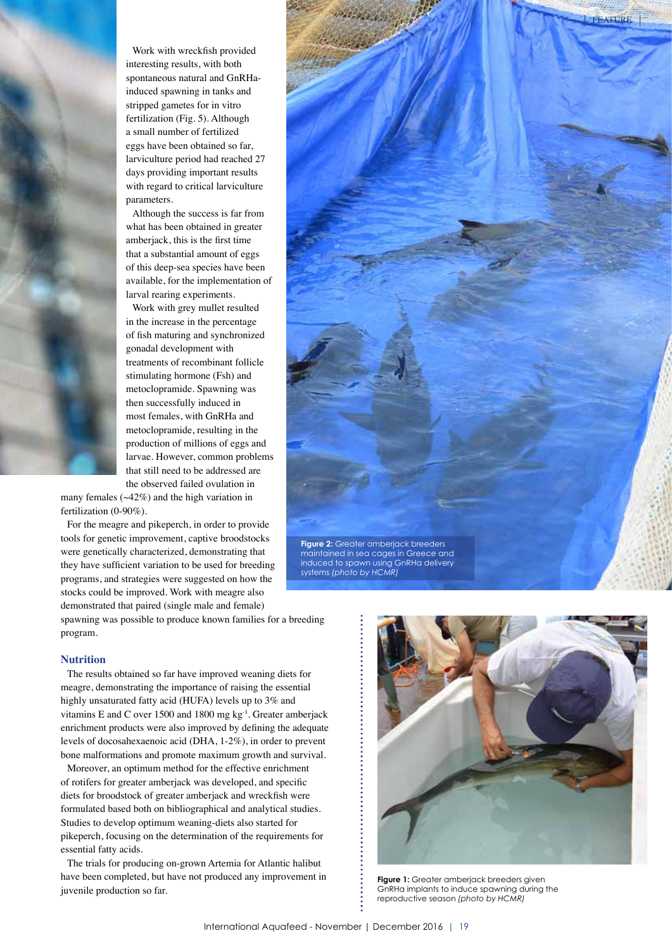

Work with wreckfish provided interesting results, with both spontaneous natural and GnRHainduced spawning in tanks and stripped gametes for in vitro fertilization (Fig. 5). Although a small number of fertilized eggs have been obtained so far, larviculture period had reached 27 days providing important results with regard to critical larviculture parameters.

Although the success is far from what has been obtained in greater amberjack, this is the first time that a substantial amount of eggs of this deep-sea species have been available, for the implementation of larval rearing experiments.

Work with grey mullet resulted in the increase in the percentage of fish maturing and synchronized gonadal development with treatments of recombinant follicle stimulating hormone (Fsh) and metoclopramide. Spawning was then successfully induced in most females, with GnRHa and metoclopramide, resulting in the production of millions of eggs and larvae. However, common problems that still need to be addressed are the observed failed ovulation in

many females  $(\sim42\%)$  and the high variation in fertilization (0-90%).

For the meagre and pikeperch, in order to provide tools for genetic improvement, captive broodstocks were genetically characterized, demonstrating that they have sufficient variation to be used for breeding programs, and strategies were suggested on how the stocks could be improved. Work with meagre also demonstrated that paired (single male and female)

spawning was possible to produce known families for a breeding program.

#### **Nutrition**

The results obtained so far have improved weaning diets for meagre, demonstrating the importance of raising the essential highly unsaturated fatty acid (HUFA) levels up to 3% and vitamins E and C over 1500 and 1800 mg kg<sup>-1</sup>. Greater amberjack enrichment products were also improved by defining the adequate levels of docosahexaenoic acid (DHA, 1-2%), in order to prevent bone malformations and promote maximum growth and survival.

Moreover, an optimum method for the effective enrichment of rotifers for greater amberjack was developed, and specific diets for broodstock of greater amberjack and wreckfish were formulated based both on bibliographical and analytical studies. Studies to develop optimum weaning-diets also started for pikeperch, focusing on the determination of the requirements for essential fatty acids.

The trials for producing on-grown Artemia for Atlantic halibut have been completed, but have not produced any improvement in juvenile production so far.



systems *(photo by HCMR)* 



**Figure 1:** Greater amberjack breeders given GnRHa implants to induce spawning during the reproductive season *(photo by HCMR)*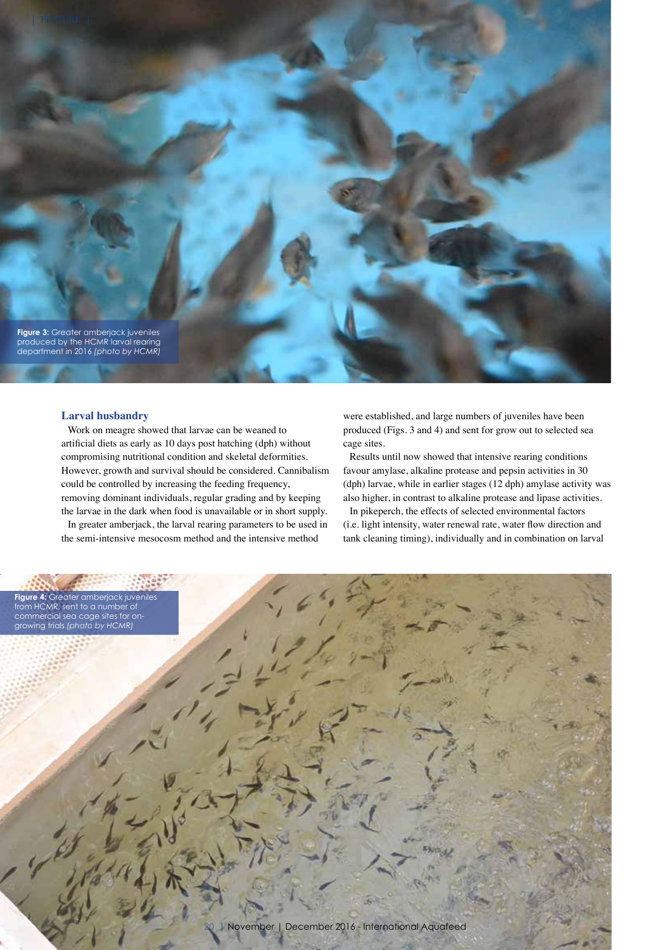

## **Larval husbandry**

Work on meagre showed that larvae can be weaned to artificial diets as early as 10 days post hatching (dph) without compromising nutritional condition and skeletal deformities. However, growth and survival should be considered. Cannibalism could be controlled by increasing the feeding frequency, removing dominant individuals, regular grading and by keeping the larvae in the dark when food is unavailable or in short supply.

In greater amberjack, the larval rearing parameters to be used in the semi-intensive mesocosm method and the intensive method

were established, and large numbers of juveniles have been produced (Figs. 3 and 4) and sent for grow out to selected sea cage sites.

Results until now showed that intensive rearing conditions favour amylase, alkaline protease and pepsin activities in 30 (dph) larvae, while in earlier stages (12 dph) amylase activity was also higher, in contrast to alkaline protease and lipase activities.

In pikeperch, the effects of selected environmental factors (i.e. light intensity, water renewal rate, water flow direction and tank cleaning timing), individually and in combination on larval

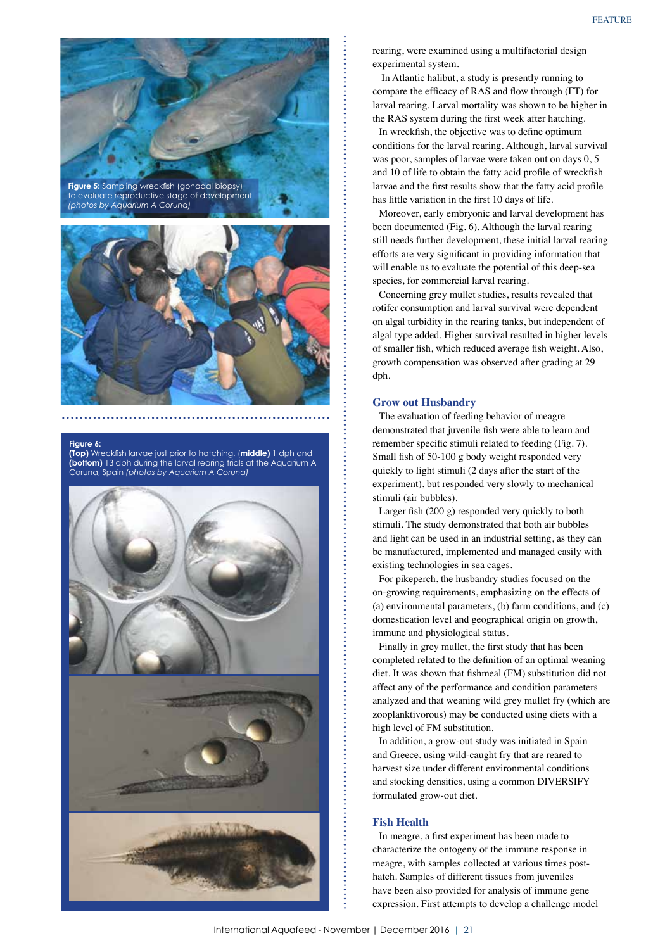

to evaluate reproductive stage of development *(photos by Aquarium A Coruna)*



#### **Figure 6:**

**(Top)** Wreckfish larvae just prior to hatching. (**middle)** 1 dph and **(bottom)** 13 dph during the larval rearing trials at the Aquarium A Coruna, Spain *(photos by Aquarium A Coruna)*



rearing, were examined using a multifactorial design experimental system.

 In Atlantic halibut, a study is presently running to compare the efficacy of RAS and flow through (FT) for larval rearing. Larval mortality was shown to be higher in the RAS system during the first week after hatching.

In wreckfish, the objective was to define optimum conditions for the larval rearing. Although, larval survival was poor, samples of larvae were taken out on days 0, 5 and 10 of life to obtain the fatty acid profile of wreckfish larvae and the first results show that the fatty acid profile has little variation in the first 10 days of life.

Moreover, early embryonic and larval development has been documented (Fig. 6). Although the larval rearing still needs further development, these initial larval rearing efforts are very significant in providing information that will enable us to evaluate the potential of this deep-sea species, for commercial larval rearing.

Concerning grey mullet studies, results revealed that rotifer consumption and larval survival were dependent on algal turbidity in the rearing tanks, but independent of algal type added. Higher survival resulted in higher levels of smaller fish, which reduced average fish weight. Also, growth compensation was observed after grading at 29 dph.

#### **Grow out Husbandry**

The evaluation of feeding behavior of meagre demonstrated that juvenile fish were able to learn and remember specific stimuli related to feeding (Fig. 7). Small fish of 50-100 g body weight responded very quickly to light stimuli (2 days after the start of the experiment), but responded very slowly to mechanical stimuli (air bubbles).

Larger fish (200 g) responded very quickly to both stimuli. The study demonstrated that both air bubbles and light can be used in an industrial setting, as they can be manufactured, implemented and managed easily with existing technologies in sea cages.

For pikeperch, the husbandry studies focused on the on-growing requirements, emphasizing on the effects of (a) environmental parameters, (b) farm conditions, and (c) domestication level and geographical origin on growth, immune and physiological status.

Finally in grey mullet, the first study that has been completed related to the definition of an optimal weaning diet. It was shown that fishmeal (FM) substitution did not affect any of the performance and condition parameters analyzed and that weaning wild grey mullet fry (which are zooplanktivorous) may be conducted using diets with a high level of FM substitution.

In addition, a grow-out study was initiated in Spain and Greece, using wild-caught fry that are reared to harvest size under different environmental conditions and stocking densities, using a common DIVERSIFY formulated grow-out diet.

#### **Fish Health**

In meagre, a first experiment has been made to characterize the ontogeny of the immune response in meagre, with samples collected at various times posthatch. Samples of different tissues from juveniles have been also provided for analysis of immune gene expression. First attempts to develop a challenge model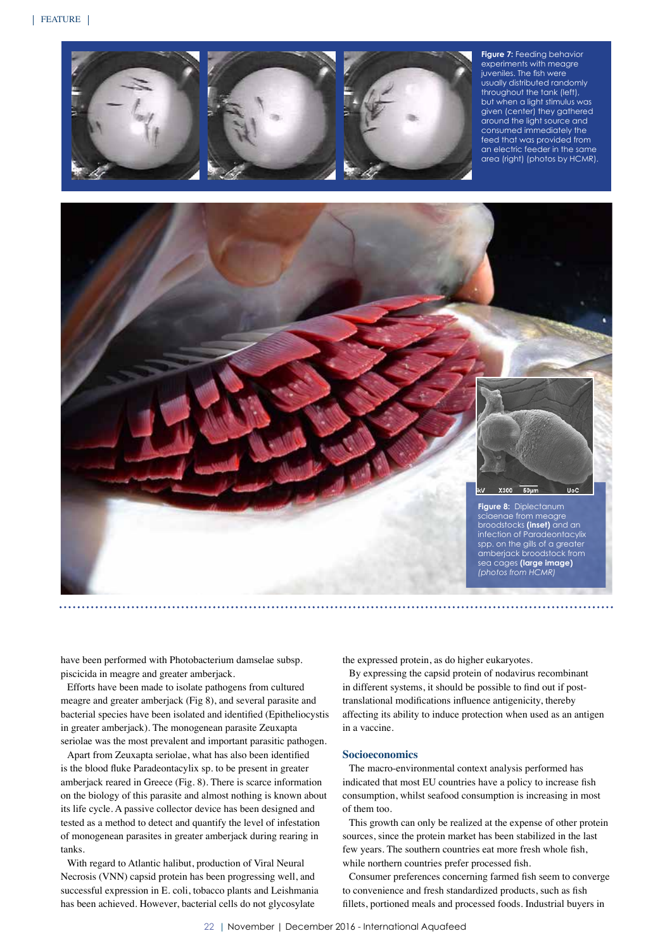

**Figure 7:** Feeding behavior experiments with meagre juveniles. The fish were usually distributed randomly throughout the tank (left), but when a light stimulus was given (center) they gathered around the light source and consumed immediately the feed that was provided from an electric feeder in the same area (right) (photos by HCMR).



have been performed with Photobacterium damselae subsp. piscicida in meagre and greater amberjack.

Efforts have been made to isolate pathogens from cultured meagre and greater amberjack (Fig 8), and several parasite and bacterial species have been isolated and identified (Epitheliocystis in greater amberjack). The monogenean parasite Zeuxapta seriolae was the most prevalent and important parasitic pathogen.

Apart from Zeuxapta seriolae, what has also been identified is the blood fluke Paradeontacylix sp. to be present in greater amberjack reared in Greece (Fig. 8). There is scarce information on the biology of this parasite and almost nothing is known about its life cycle. A passive collector device has been designed and tested as a method to detect and quantify the level of infestation of monogenean parasites in greater amberjack during rearing in tanks.

With regard to Atlantic halibut, production of Viral Neural Necrosis (VNN) capsid protein has been progressing well, and successful expression in E. coli, tobacco plants and Leishmania has been achieved. However, bacterial cells do not glycosylate

the expressed protein, as do higher eukaryotes.

By expressing the capsid protein of nodavirus recombinant in different systems, it should be possible to find out if posttranslational modifications influence antigenicity, thereby affecting its ability to induce protection when used as an antigen in a vaccine.

#### **Socioeconomics**

The macro-environmental context analysis performed has indicated that most EU countries have a policy to increase fish consumption, whilst seafood consumption is increasing in most of them too.

This growth can only be realized at the expense of other protein sources, since the protein market has been stabilized in the last few years. The southern countries eat more fresh whole fish, while northern countries prefer processed fish.

Consumer preferences concerning farmed fish seem to converge to convenience and fresh standardized products, such as fish fillets, portioned meals and processed foods. Industrial buyers in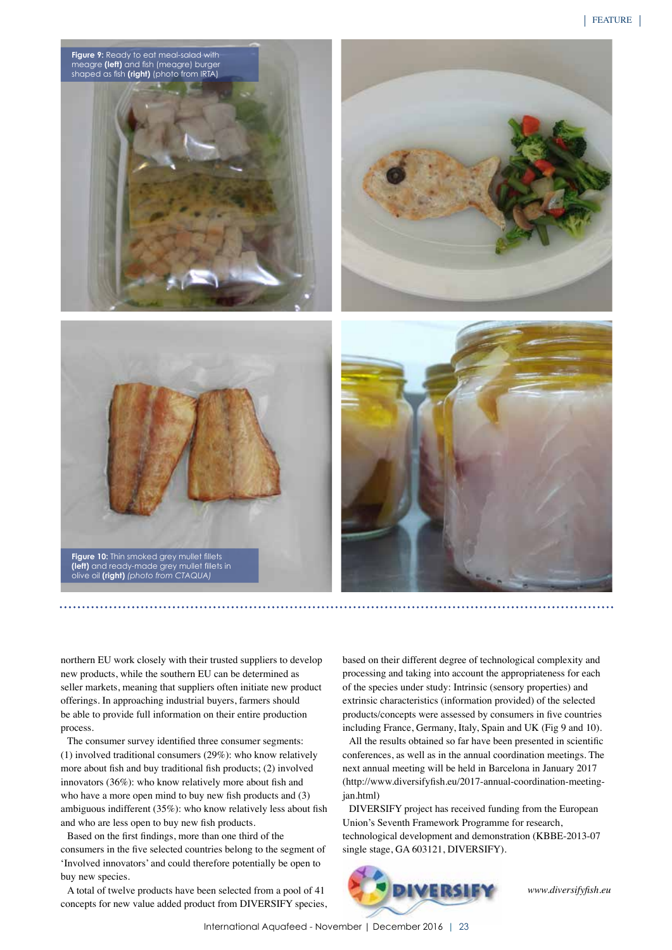



northern EU work closely with their trusted suppliers to develop new products, while the southern EU can be determined as seller markets, meaning that suppliers often initiate new product offerings. In approaching industrial buyers, farmers should be able to provide full information on their entire production process.

The consumer survey identified three consumer segments: (1) involved traditional consumers (29%): who know relatively more about fish and buy traditional fish products; (2) involved innovators (36%): who know relatively more about fish and who have a more open mind to buy new fish products and (3) ambiguous indifferent (35%): who know relatively less about fish and who are less open to buy new fish products.

Based on the first findings, more than one third of the consumers in the five selected countries belong to the segment of 'Involved innovators' and could therefore potentially be open to buy new species.

A total of twelve products have been selected from a pool of 41 concepts for new value added product from DIVERSIFY species, based on their different degree of technological complexity and processing and taking into account the appropriateness for each of the species under study: Intrinsic (sensory properties) and extrinsic characteristics (information provided) of the selected products/concepts were assessed by consumers in five countries including France, Germany, Italy, Spain and UK (Fig 9 and 10).

All the results obtained so far have been presented in scientific conferences, as well as in the annual coordination meetings. The next annual meeting will be held in Barcelona in January 2017 (http://www.diversifyfish.eu/2017-annual-coordination-meetingjan.html)

DIVERSIFY project has received funding from the European Union's Seventh Framework Programme for research, technological development and demonstration (KBBE-2013-07 single stage, GA 603121, DIVERSIFY).



*www.diversifyfish.eu*

International Aquafeed - November | December 2016 | 23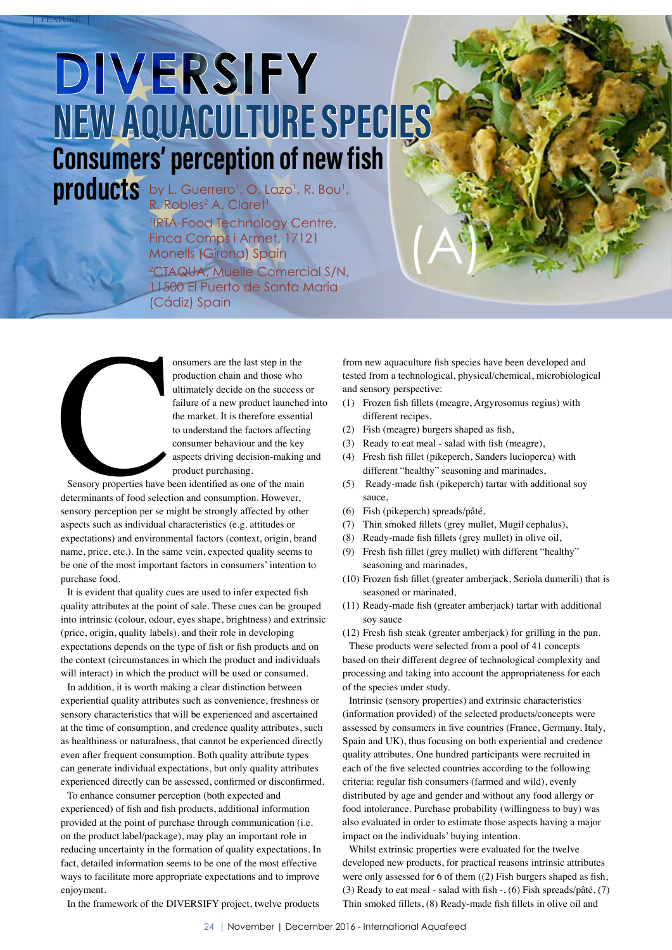# DIVERSIFY **NEW AQUACULTURE SPECIES Consumers' perception of new fish**

**products** by L. Guerrero<sup>1</sup> , O. Lazo<sup>1</sup>, R. Bou<sup>1</sup>, R. Robles<sup>2</sup> A. Claret<sup>1</sup> 1 IRTA-Food Technology Centre, Finca Camps i Armet, 17121 Monells (Girona) Spain 2 CTAQUA, Muelle Comercial S/N, 11500 El Puerto de Santa María (Cádiz) Spain

onsumers are the last step in the<br>production chain and those who<br>ultimately decide on the success<br>failure of a new product launche<br>the market. It is therefore essenti<br>to understand the factors affectir<br>consumer behaviour a production chain and those who ultimately decide on the success or failure of a new product launched into the market. It is therefore essential to understand the factors affecting consumer behaviour and the key aspects driving decision-making and product purchasing.

Sensory properties have been identified as one of the main determinants of food selection and consumption. However, sensory perception per se might be strongly affected by other aspects such as individual characteristics (e.g. attitudes or expectations) and environmental factors (context, origin, brand name, price, etc.). In the same vein, expected quality seems to be one of the most important factors in consumers' intention to purchase food.

It is evident that quality cues are used to infer expected fish quality attributes at the point of sale. These cues can be grouped into intrinsic (colour, odour, eyes shape, brightness) and extrinsic (price, origin, quality labels), and their role in developing expectations depends on the type of fish or fish products and on the context (circumstances in which the product and individuals will interact) in which the product will be used or consumed.

In addition, it is worth making a clear distinction between experiential quality attributes such as convenience, freshness or sensory characteristics that will be experienced and ascertained at the time of consumption, and credence quality attributes, such as healthiness or naturalness, that cannot be experienced directly even after frequent consumption. Both quality attribute types can generate individual expectations, but only quality attributes experienced directly can be assessed, confirmed or disconfirmed.

To enhance consumer perception (both expected and experienced) of fish and fish products, additional information provided at the point of purchase through communication (i.e. on the product label/package), may play an important role in reducing uncertainty in the formation of quality expectations. In fact, detailed information seems to be one of the most effective ways to facilitate more appropriate expectations and to improve enjoyment.

In the framework of the DIVERSIFY project, twelve products

from new aquaculture fish species have been developed and tested from a technological, physical/chemical, microbiological and sensory perspective:

- (1) Frozen fish fillets (meagre, Argyrosomus regius) with different recipes,
- (2) Fish (meagre) burgers shaped as fish,
- (3) Ready to eat meal salad with fish (meagre),

 $(A^c)$ 

- (4) Fresh fish fillet (pikeperch, Sanders lucioperca) with different "healthy" seasoning and marinades,
- (5) Ready-made fish (pikeperch) tartar with additional soy sauce,
- (6) Fish (pikeperch) spreads/pâté,
- (7) Thin smoked fillets (grey mullet, Mugil cephalus),
- (8) Ready-made fish fillets (grey mullet) in olive oil,
- (9) Fresh fish fillet (grey mullet) with different "healthy" seasoning and marinades,
- (10) Frozen fish fillet (greater amberjack, Seriola dumerili) that is seasoned or marinated,
- (11) Ready-made fish (greater amberjack) tartar with additional soy sauce

(12) Fresh fish steak (greater amberjack) for grilling in the pan. These products were selected from a pool of 41 concepts based on their different degree of technological complexity and processing and taking into account the appropriateness for each of the species under study.

Intrinsic (sensory properties) and extrinsic characteristics (information provided) of the selected products/concepts were assessed by consumers in five countries (France, Germany, Italy, Spain and UK), thus focusing on both experiential and credence quality attributes. One hundred participants were recruited in each of the five selected countries according to the following criteria: regular fish consumers (farmed and wild), evenly distributed by age and gender and without any food allergy or food intolerance. Purchase probability (willingness to buy) was also evaluated in order to estimate those aspects having a major impact on the individuals' buying intention.

Whilst extrinsic properties were evaluated for the twelve developed new products, for practical reasons intrinsic attributes were only assessed for 6 of them ((2) Fish burgers shaped as fish, (3) Ready to eat meal - salad with fish  $-$ , (6) Fish spreads/pâté, (7) Thin smoked fillets, (8) Ready-made fish fillets in olive oil and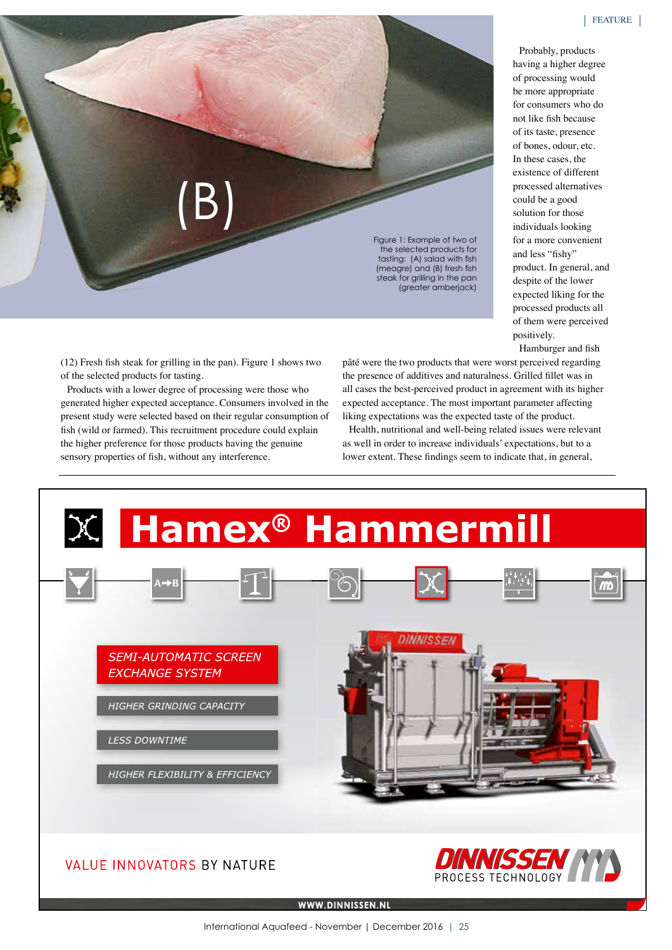Probably, products having a higher degree of processing would be more appropriate for consumers who do not like fish because of its taste, presence of bones, odour, etc. In these cases, the existence of different processed alternatives could be a good solution for those individuals looking for a more convenient and less "fishy" product. In general, and despite of the lower expected liking for the processed products all of them were perceived positively.

Hamburger and fish

(12) Fresh fish steak for grilling in the pan). Figure 1 shows two of the selected products for tasting.

Products with a lower degree of processing were those who generated higher expected acceptance. Consumers involved in the present study were selected based on their regular consumption of fish (wild or farmed). This recruitment procedure could explain the higher preference for those products having the genuine sensory properties of fish, without any interference.

pâté were the two products that were worst perceived regarding the presence of additives and naturalness. Grilled fillet was in all cases the best-perceived product in agreement with its higher expected acceptance. The most important parameter affecting liking expectations was the expected taste of the product.

Health, nutritional and well-being related issues were relevant as well in order to increase individuals' expectations, but to a lower extent. These findings seem to indicate that, in general,